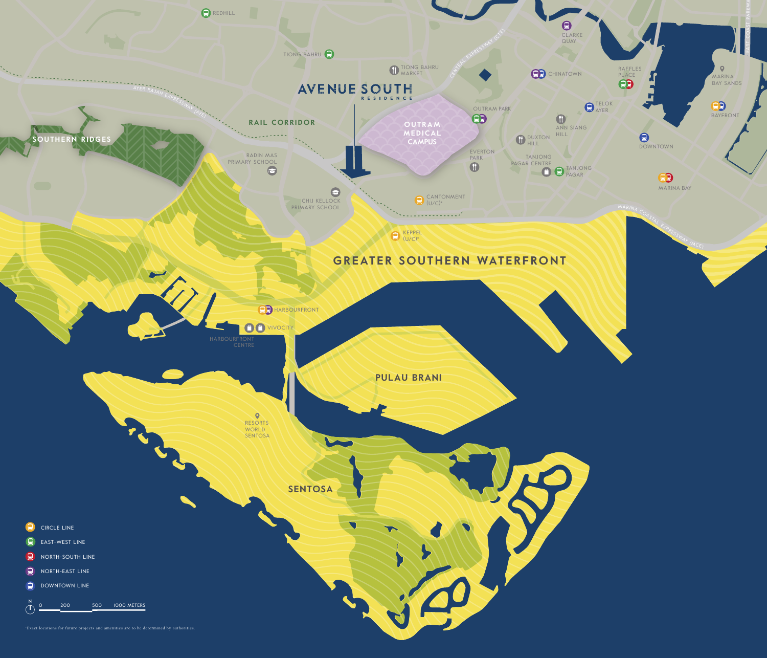